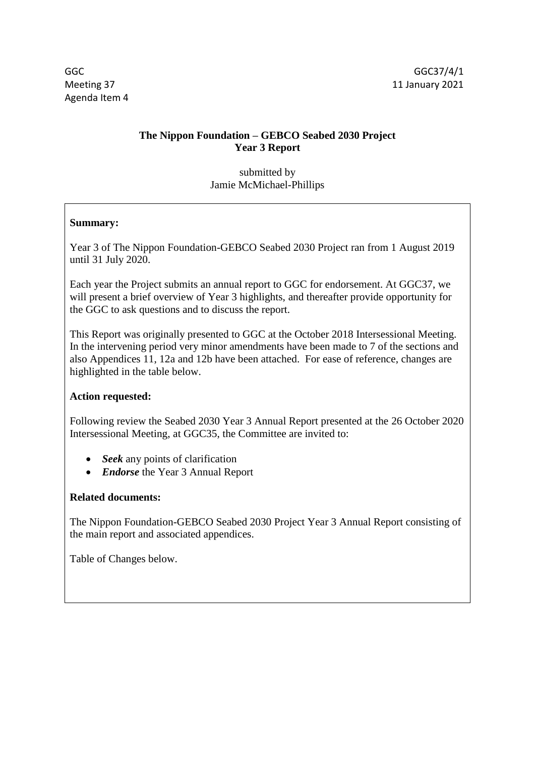Agenda Item 4

# **The Nippon Foundation – GEBCO Seabed 2030 Project Year 3 Report**

submitted by Jamie McMichael-Phillips

## **Summary:**

Year 3 of The Nippon Foundation-GEBCO Seabed 2030 Project ran from 1 August 2019 until 31 July 2020.

Each year the Project submits an annual report to GGC for endorsement. At GGC37, we will present a brief overview of Year 3 highlights, and thereafter provide opportunity for the GGC to ask questions and to discuss the report.

This Report was originally presented to GGC at the October 2018 Intersessional Meeting. In the intervening period very minor amendments have been made to 7 of the sections and also Appendices 11, 12a and 12b have been attached. For ease of reference, changes are highlighted in the table below.

## **Action requested:**

Following review the Seabed 2030 Year 3 Annual Report presented at the 26 October 2020 Intersessional Meeting, at GGC35, the Committee are invited to:

- *Seek* any points of clarification
- *Endorse* the Year 3 Annual Report

## **Related documents:**

The Nippon Foundation-GEBCO Seabed 2030 Project Year 3 Annual Report consisting of the main report and associated appendices.

Table of Changes below.